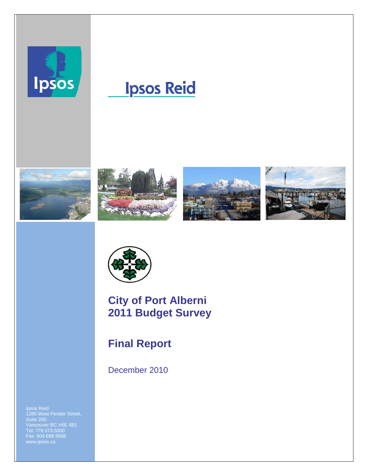

# **Ipsos Reid**











### **City of Port Alberni 2011 Budget Survey**

### **Final Report**

December 2010

Ipsos Reid 1285 West Pender Street, Suite 200 Vancouver BC V6E 4B1 Tel: 778.373.5000 Fax: 604.688.9568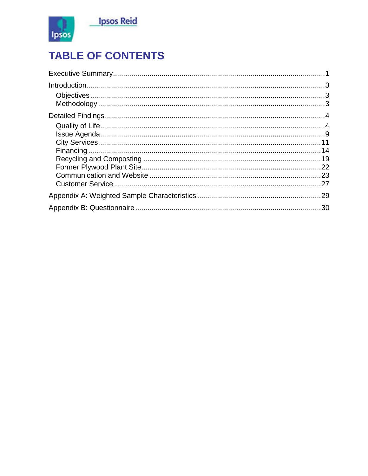

## **TABLE OF CONTENTS**

| .29 |
|-----|
|     |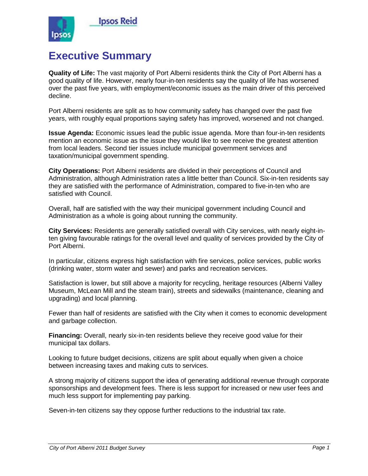

### <span id="page-2-0"></span>**Executive Summary**

**Quality of Life:** The vast majority of Port Alberni residents think the City of Port Alberni has a good quality of life. However, nearly four-in-ten residents say the quality of life has worsened over the past five years, with employment/economic issues as the main driver of this perceived decline.

Port Alberni residents are split as to how community safety has changed over the past five years, with roughly equal proportions saying safety has improved, worsened and not changed.

**Issue Agenda:** Economic issues lead the public issue agenda. More than four-in-ten residents mention an economic issue as the issue they would like to see receive the greatest attention from local leaders. Second tier issues include municipal government services and taxation/municipal government spending.

**City Operations:** Port Alberni residents are divided in their perceptions of Council and Administration, although Administration rates a little better than Council. Six-in-ten residents say they are satisfied with the performance of Administration, compared to five-in-ten who are satisfied with Council.

Overall, half are satisfied with the way their municipal government including Council and Administration as a whole is going about running the community.

**City Services:** Residents are generally satisfied overall with City services, with nearly eight-inten giving favourable ratings for the overall level and quality of services provided by the City of Port Alberni.

In particular, citizens express high satisfaction with fire services, police services, public works (drinking water, storm water and sewer) and parks and recreation services.

Satisfaction is lower, but still above a majority for recycling, heritage resources (Alberni Valley Museum, McLean Mill and the steam train), streets and sidewalks (maintenance, cleaning and upgrading) and local planning.

Fewer than half of residents are satisfied with the City when it comes to economic development and garbage collection.

**Financing:** Overall, nearly six-in-ten residents believe they receive good value for their municipal tax dollars.

Looking to future budget decisions, citizens are split about equally when given a choice between increasing taxes and making cuts to services.

A strong majority of citizens support the idea of generating additional revenue through corporate sponsorships and development fees. There is less support for increased or new user fees and much less support for implementing pay parking.

Seven-in-ten citizens say they oppose further reductions to the industrial tax rate.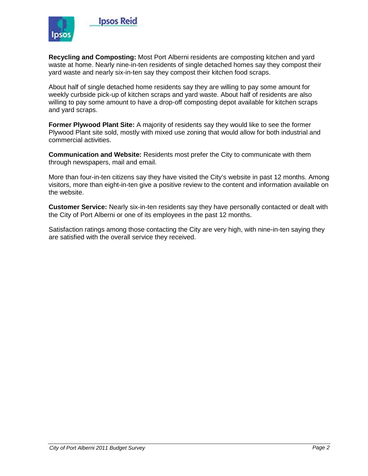

**Recycling and Composting:** Most Port Alberni residents are composting kitchen and yard waste at home. Nearly nine-in-ten residents of single detached homes say they compost their yard waste and nearly six-in-ten say they compost their kitchen food scraps.

About half of single detached home residents say they are willing to pay some amount for weekly curbside pick-up of kitchen scraps and yard waste. About half of residents are also willing to pay some amount to have a drop-off composting depot available for kitchen scraps and yard scraps.

**Former Plywood Plant Site:** A majority of residents say they would like to see the former Plywood Plant site sold, mostly with mixed use zoning that would allow for both industrial and commercial activities.

**Communication and Website:** Residents most prefer the City to communicate with them through newspapers, mail and email.

More than four-in-ten citizens say they have visited the City's website in past 12 months. Among visitors, more than eight-in-ten give a positive review to the content and information available on the website.

**Customer Service:** Nearly six-in-ten residents say they have personally contacted or dealt with the City of Port Alberni or one of its employees in the past 12 months.

Satisfaction ratings among those contacting the City are very high, with nine-in-ten saying they are satisfied with the overall service they received.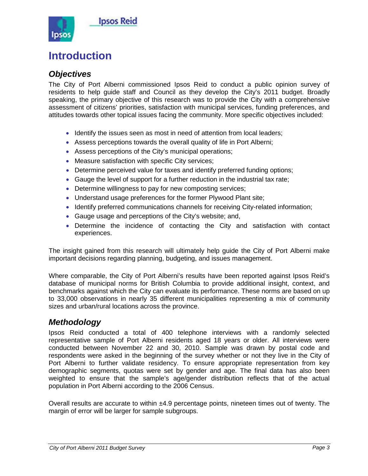

### <span id="page-4-0"></span>**Introduction**

#### <span id="page-4-1"></span>*Objectives*

The City of Port Alberni commissioned Ipsos Reid to conduct a public opinion survey of residents to help guide staff and Council as they develop the City's 2011 budget. Broadly speaking, the primary objective of this research was to provide the City with a comprehensive assessment of citizens' priorities, satisfaction with municipal services, funding preferences, and attitudes towards other topical issues facing the community. More specific objectives included:

- Identify the issues seen as most in need of attention from local leaders;
- Assess perceptions towards the overall quality of life in Port Alberni;
- Assess perceptions of the City's municipal operations;
- Measure satisfaction with specific City services;
- Determine perceived value for taxes and identify preferred funding options;
- Gauge the level of support for a further reduction in the industrial tax rate;
- Determine willingness to pay for new composting services;
- Understand usage preferences for the former Plywood Plant site;
- Identify preferred communications channels for receiving City-related information;
- Gauge usage and perceptions of the City's website; and,
- Determine the incidence of contacting the City and satisfaction with contact experiences.

The insight gained from this research will ultimately help guide the City of Port Alberni make important decisions regarding planning, budgeting, and issues management.

Where comparable, the City of Port Alberni's results have been reported against Ipsos Reid's database of municipal norms for British Columbia to provide additional insight, context, and benchmarks against which the City can evaluate its performance. These norms are based on up to 33,000 observations in nearly 35 different municipalities representing a mix of community sizes and urban/rural locations across the province.

#### <span id="page-4-2"></span>*Methodology*

Ipsos Reid conducted a total of 400 telephone interviews with a randomly selected representative sample of Port Alberni residents aged 18 years or older. All interviews were conducted between November 22 and 30, 2010. Sample was drawn by postal code and respondents were asked in the beginning of the survey whether or not they live in the City of Port Alberni to further validate residency. To ensure appropriate representation from key demographic segments, quotas were set by gender and age. The final data has also been weighted to ensure that the sample's age/gender distribution reflects that of the actual population in Port Alberni according to the 2006 Census.

Overall results are accurate to within ±4.9 percentage points, nineteen times out of twenty. The margin of error will be larger for sample subgroups.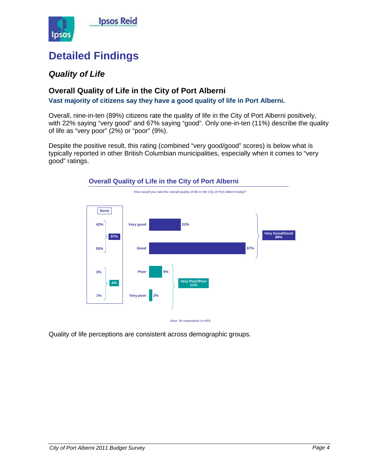

### <span id="page-5-0"></span>**Detailed Findings**

### <span id="page-5-1"></span>*Quality of Life*

#### **Overall Quality of Life in the City of Port Alberni**

**Vast majority of citizens say they have a good quality of life in Port Alberni.**

Overall, nine-in-ten (89%) citizens rate the quality of life in the City of Port Alberni positively, with 22% saying "very good" and 67% saying "good". Only one-in-ten (11%) describe the quality of life as "very poor" (2%) or "poor" (9%).

Despite the positive result, this rating (combined "very good/good" scores) is below what is typically reported in other British Columbian municipalities, especially when it comes to "very good" ratings.



Quality of life perceptions are consistent across demographic groups.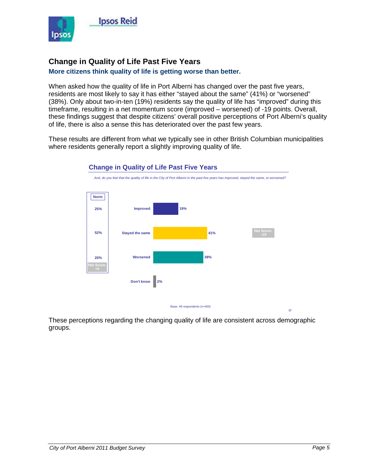

#### **Change in Quality of Life Past Five Years**

#### **More citizens think quality of life is getting worse than better.**

When asked how the quality of life in Port Alberni has changed over the past five years, residents are most likely to say it has either "stayed about the same" (41%) or "worsened" (38%). Only about two-in-ten (19%) residents say the quality of life has "improved" during this timeframe, resulting in a net momentum score (improved – worsened) of -19 points. Overall, these findings suggest that despite citizens' overall positive perceptions of Port Alberni's quality of life, there is also a sense this has deteriorated over the past few years.

These results are different from what we typically see in other British Columbian municipalities where residents generally report a slightly improving quality of life.



#### **Change in Quality of Life Past Five Years**

These perceptions regarding the changing quality of life are consistent across demographic groups.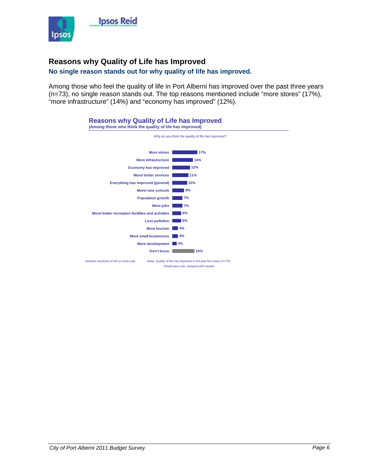

#### **Reasons why Quality of Life has Improved**

#### **No single reason stands out for why quality of life has improved.**

Among those who feel the quality of life in Port Alberni has improved over the past three years (n=73), no single reason stands out. The top reasons mentioned include "more stores" (17%), "more infrastructure" (14%) and "economy has improved" (12%).

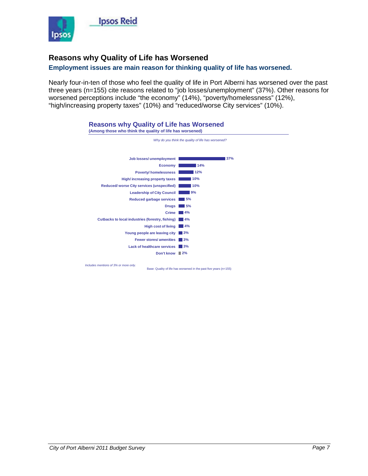

#### **Reasons why Quality of Life has Worsened**

#### **Employment issues are main reason for thinking quality of life has worsened.**

Nearly four-in-ten of those who feel the quality of life in Port Alberni has worsened over the past three years (n=155) cite reasons related to "job losses/unemployment" (37%). Other reasons for worsened perceptions include "the economy" (14%), "poverty/homelessness" (12%), "high/increasing property taxes" (10%) and "reduced/worse City services" (10%).



*City of Port Alberni 2011 Budget Survey Page 7*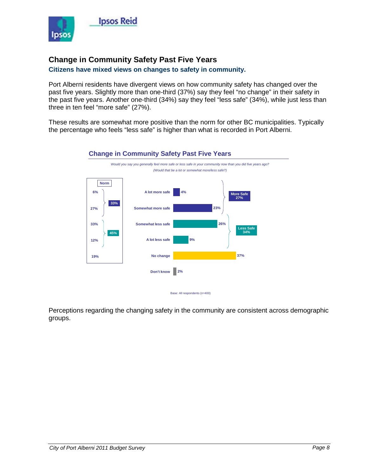

#### **Change in Community Safety Past Five Years**

#### **Citizens have mixed views on changes to safety in community.**

Port Alberni residents have divergent views on how community safety has changed over the past five years. Slightly more than one-third (37%) say they feel "no change" in their safety in the past five years. Another one-third (34%) say they feel "less safe" (34%), while just less than three in ten feel "more safe" (27%).

These results are somewhat more positive than the norm for other BC municipalities. Typically the percentage who feels "less safe" is higher than what is recorded in Port Alberni.



#### **Change in Community Safety Past Five Years**

Base: All respondents (n=400)

Perceptions regarding the changing safety in the community are consistent across demographic groups.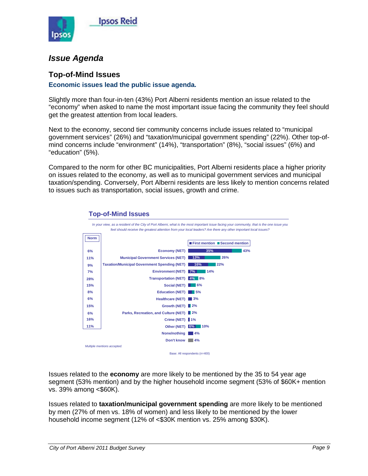

#### <span id="page-10-0"></span>*Issue Agenda*

#### **Top-of-Mind Issues**

#### **Economic issues lead the public issue agenda.**

Slightly more than four-in-ten (43%) Port Alberni residents mention an issue related to the "economy" when asked to name the most important issue facing the community they feel should get the greatest attention from local leaders.

Next to the economy, second tier community concerns include issues related to "municipal government services" (26%) and "taxation/municipal government spending" (22%). Other top-ofmind concerns include "environment" (14%), "transportation" (8%), "social issues" (6%) and "education" (5%).

Compared to the norm for other BC municipalities, Port Alberni residents place a higher priority on issues related to the economy, as well as to municipal government services and municipal taxation/spending. Conversely, Port Alberni residents are less likely to mention concerns related to issues such as transportation, social issues, growth and crime.



#### **Top-of-Mind Issues**

Issues related to the **economy** are more likely to be mentioned by the 35 to 54 year age segment (53% mention) and by the higher household income segment (53% of \$60K+ mention vs. 39% among <\$60K).

Issues related to **taxation/municipal government spending** are more likely to be mentioned by men (27% of men vs. 18% of women) and less likely to be mentioned by the lower household income segment (12% of <\$30K mention vs. 25% among \$30K).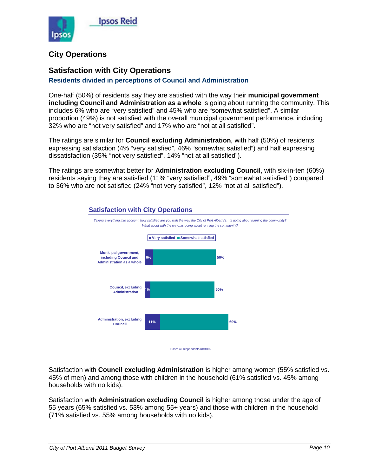

#### **City Operations**

#### **Satisfaction with City Operations**

#### **Residents divided in perceptions of Council and Administration**

One-half (50%) of residents say they are satisfied with the way their **municipal government including Council and Administration as a whole** is going about running the community. This includes 6% who are "very satisfied" and 45% who are "somewhat satisfied". A similar proportion (49%) is not satisfied with the overall municipal government performance, including 32% who are "not very satisfied" and 17% who are "not at all satisfied".

The ratings are similar for **Council excluding Administration**, with half (50%) of residents expressing satisfaction (4% "very satisfied", 46% "somewhat satisfied") and half expressing dissatisfaction (35% "not very satisfied", 14% "not at all satisfied").

The ratings are somewhat better for **Administration excluding Council**, with six-in-ten (60%) residents saying they are satisfied (11% "very satisfied", 49% "somewhat satisfied") compared to 36% who are not satisfied (24% "not very satisfied", 12% "not at all satisfied").



Satisfaction with **Council excluding Administration** is higher among women (55% satisfied vs. 45% of men) and among those with children in the household (61% satisfied vs. 45% among households with no kids).

Satisfaction with **Administration excluding Council** is higher among those under the age of 55 years (65% satisfied vs. 53% among 55+ years) and those with children in the household (71% satisfied vs. 55% among households with no kids).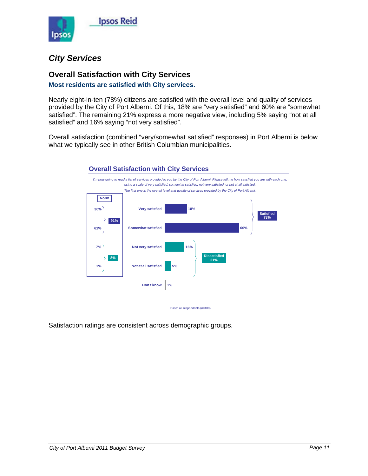

#### <span id="page-12-0"></span>*City Services*

#### **Overall Satisfaction with City Services**

#### **Most residents are satisfied with City services.**

Nearly eight-in-ten (78%) citizens are satisfied with the overall level and quality of services provided by the City of Port Alberni. Of this, 18% are "very satisfied" and 60% are "somewhat satisfied". The remaining 21% express a more negative view, including 5% saying "not at all satisfied" and 16% saying "not very satisfied".

Overall satisfaction (combined "very/somewhat satisfied" responses) in Port Alberni is below what we typically see in other British Columbian municipalities.



#### **Overall Satisfaction with City Services**

Base: All respondents (n=400)

Satisfaction ratings are consistent across demographic groups.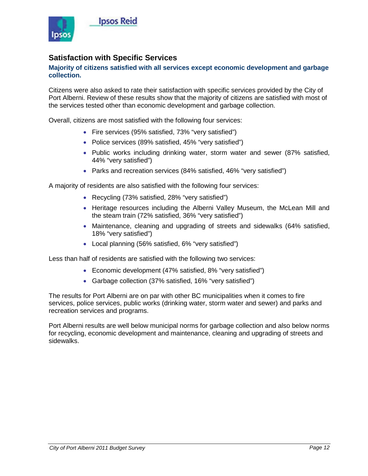

#### **Satisfaction with Specific Services**

#### **Majority of citizens satisfied with all services except economic development and garbage collection.**

Citizens were also asked to rate their satisfaction with specific services provided by the City of Port Alberni. Review of these results show that the majority of citizens are satisfied with most of the services tested other than economic development and garbage collection.

Overall, citizens are most satisfied with the following four services:

- Fire services (95% satisfied, 73% "very satisfied")
- Police services (89% satisfied, 45% "very satisfied")
- Public works including drinking water, storm water and sewer (87% satisfied, 44% "very satisfied")
- Parks and recreation services (84% satisfied, 46% "very satisfied")

A majority of residents are also satisfied with the following four services:

- Recycling (73% satisfied, 28% "very satisfied")
- Heritage resources including the Alberni Valley Museum, the McLean Mill and the steam train (72% satisfied, 36% "very satisfied")
- Maintenance, cleaning and upgrading of streets and sidewalks (64% satisfied, 18% "very satisfied")
- Local planning (56% satisfied, 6% "very satisfied")

Less than half of residents are satisfied with the following two services:

- Economic development (47% satisfied, 8% "very satisfied")
- Garbage collection (37% satisfied, 16% "very satisfied")

The results for Port Alberni are on par with other BC municipalities when it comes to fire services, police services, public works (drinking water, storm water and sewer) and parks and recreation services and programs.

Port Alberni results are well below municipal norms for garbage collection and also below norms for recycling, economic development and maintenance, cleaning and upgrading of streets and sidewalks.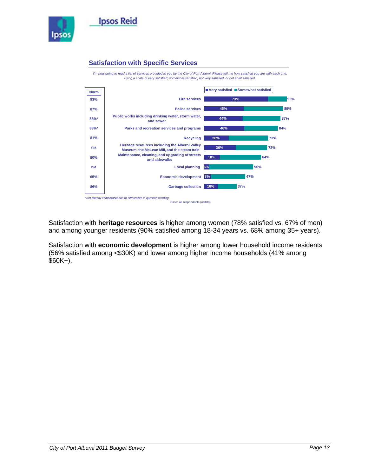

#### **Satisfaction with Specific Services**



Satisfaction with **heritage resources** is higher among women (78% satisfied vs. 67% of men) and among younger residents (90% satisfied among 18-34 years vs. 68% among 35+ years).

Satisfaction with **economic development** is higher among lower household income residents (56% satisfied among <\$30K) and lower among higher income households (41% among \$60K+).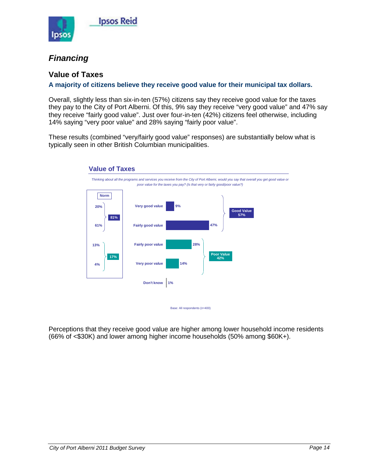

#### <span id="page-15-0"></span>*Financing*

#### **Value of Taxes**

#### **A majority of citizens believe they receive good value for their municipal tax dollars.**

Overall, slightly less than six-in-ten (57%) citizens say they receive good value for the taxes they pay to the City of Port Alberni. Of this, 9% say they receive "very good value" and 47% say they receive "fairly good value". Just over four-in-ten (42%) citizens feel otherwise, including 14% saying "very poor value" and 28% saying "fairly poor value".

These results (combined "very/fairly good value" responses) are substantially below what is typically seen in other British Columbian municipalities.



Perceptions that they receive good value are higher among lower household income residents (66% of <\$30K) and lower among higher income households (50% among \$60K+).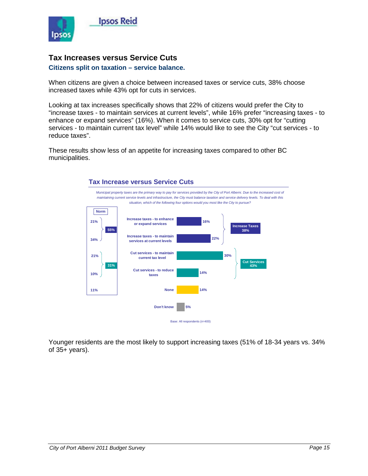

#### **Tax Increases versus Service Cuts**

#### **Citizens split on taxation – service balance.**

When citizens are given a choice between increased taxes or service cuts, 38% choose increased taxes while 43% opt for cuts in services.

Looking at tax increases specifically shows that 22% of citizens would prefer the City to "increase taxes - to maintain services at current levels", while 16% prefer "increasing taxes - to enhance or expand services" (16%). When it comes to service cuts, 30% opt for "cutting services - to maintain current tax level" while 14% would like to see the City "cut services - to reduce taxes".

These results show less of an appetite for increasing taxes compared to other BC municipalities.



Younger residents are the most likely to support increasing taxes (51% of 18-34 years vs. 34% of 35+ years).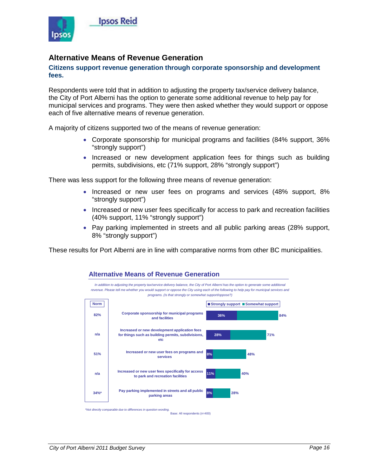

#### **Alternative Means of Revenue Generation**

#### **Citizens support revenue generation through corporate sponsorship and development fees.**

Respondents were told that in addition to adjusting the property tax/service delivery balance, the City of Port Alberni has the option to generate some additional revenue to help pay for municipal services and programs. They were then asked whether they would support or oppose each of five alternative means of revenue generation.

A majority of citizens supported two of the means of revenue generation:

- Corporate sponsorship for municipal programs and facilities (84% support, 36% "strongly support")
- Increased or new development application fees for things such as building permits, subdivisions, etc (71% support, 28% "strongly support")

There was less support for the following three means of revenue generation:

**Alternative Means of Revenue Generation**

- Increased or new user fees on programs and services (48% support, 8% "strongly support")
- Increased or new user fees specifically for access to park and recreation facilities (40% support, 11% "strongly support")
- Pay parking implemented in streets and all public parking areas (28% support, 8% "strongly support")

These results for Port Alberni are in line with comparative norms from other BC municipalities.



Base: All respondents (n=400)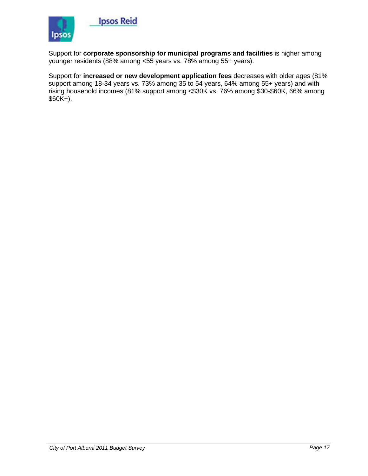

Support for **corporate sponsorship for municipal programs and facilities** is higher among younger residents (88% among <55 years vs. 78% among 55+ years).

Support for **increased or new development application fees** decreases with older ages (81% support among 18-34 years vs. 73% among 35 to 54 years, 64% among 55+ years) and with rising household incomes (81% support among <\$30K vs. 76% among \$30-\$60K, 66% among \$60K+).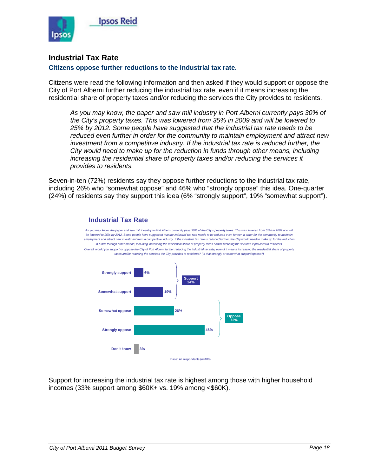

#### **Industrial Tax Rate**

#### **Citizens oppose further reductions to the industrial tax rate.**

Citizens were read the following information and then asked if they would support or oppose the City of Port Alberni further reducing the industrial tax rate, even if it means increasing the residential share of property taxes and/or reducing the services the City provides to residents.

*As you may know, the paper and saw mill industry in Port Alberni currently pays 30% of the City's property taxes. This was lowered from 35% in 2009 and will be lowered to 25% by 2012. Some people have suggested that the industrial tax rate needs to be reduced even further in order for the community to maintain employment and attract new investment from a competitive industry. If the industrial tax rate is reduced further, the City would need to make up for the reduction in funds through other means, including increasing the residential share of property taxes and/or reducing the services it provides to residents.*

Seven-in-ten (72%) residents say they oppose further reductions to the industrial tax rate, including 26% who "somewhat oppose" and 46% who "strongly oppose" this idea. One-quarter (24%) of residents say they support this idea (6% "strongly support", 19% "somewhat support").



Support for increasing the industrial tax rate is highest among those with higher household incomes (33% support among \$60K+ vs. 19% among <\$60K).

**Industrial Tax Rate**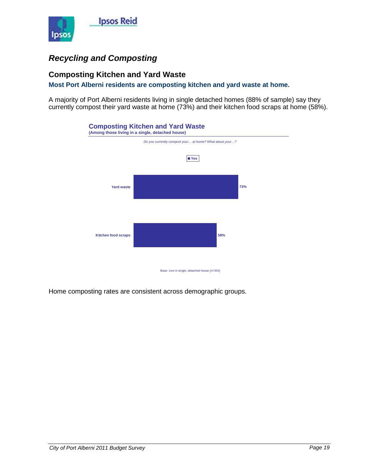

### <span id="page-20-0"></span>*Recycling and Composting*

#### **Composting Kitchen and Yard Waste**

**Most Port Alberni residents are composting kitchen and yard waste at home.**

A majority of Port Alberni residents living in single detached homes (88% of sample) say they currently compost their yard waste at home (73%) and their kitchen food scraps at home (58%).



Home composting rates are consistent across demographic groups.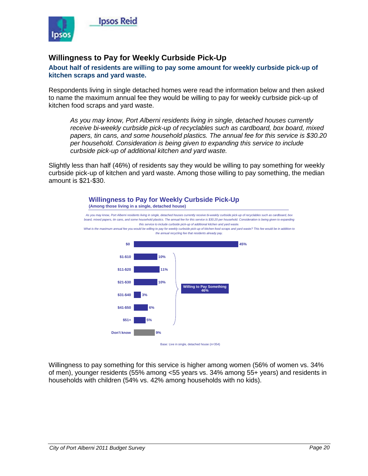

#### **Willingness to Pay for Weekly Curbside Pick-Up**

**About half of residents are willing to pay some amount for weekly curbside pick-up of kitchen scraps and yard waste.**

Respondents living in single detached homes were read the information below and then asked to name the maximum annual fee they would be willing to pay for weekly curbside pick-up of kitchen food scraps and yard waste.

*As you may know, Port Alberni residents living in single, detached houses currently receive bi-weekly curbside pick-up of recyclables such as cardboard, box board, mixed papers, tin cans, and some household plastics. The annual fee for this service is \$30.20 per household. Consideration is being given to expanding this service to include curbside pick-up of additional kitchen and yard waste.* 

Slightly less than half (46%) of residents say they would be willing to pay something for weekly curbside pick-up of kitchen and yard waste. Among those willing to pay something, the median amount is \$21-\$30.





Willingness to pay something for this service is higher among women (56% of women vs. 34% of men), younger residents (55% among <55 years vs. 34% among 55+ years) and residents in households with children (54% vs. 42% among households with no kids).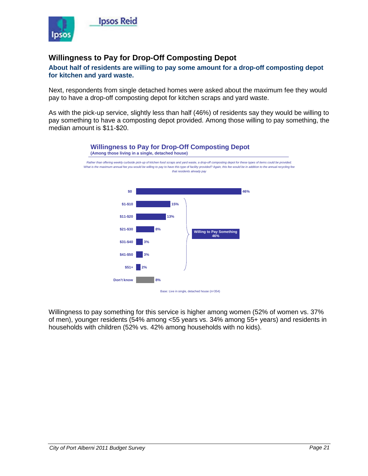

#### **Willingness to Pay for Drop-Off Composting Depot**

#### **About half of residents are willing to pay some amount for a drop-off composting depot for kitchen and yard waste.**

Next, respondents from single detached homes were asked about the maximum fee they would pay to have a drop-off composting depot for kitchen scraps and yard waste.

As with the pick-up service, slightly less than half (46%) of residents say they would be willing to pay something to have a composting depot provided. Among those willing to pay something, the median amount is \$11-\$20.



Willingness to pay something for this service is higher among women (52% of women vs. 37% of men), younger residents (54% among <55 years vs. 34% among 55+ years) and residents in households with children (52% vs. 42% among households with no kids).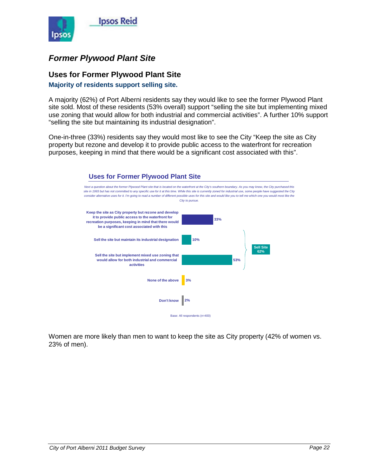

### <span id="page-23-0"></span>*Former Plywood Plant Site*

#### **Uses for Former Plywood Plant Site**

**Majority of residents support selling site.**

A majority (62%) of Port Alberni residents say they would like to see the former Plywood Plant site sold. Most of these residents (53% overall) support "selling the site but implementing mixed use zoning that would allow for both industrial and commercial activities". A further 10% support "selling the site but maintaining its industrial designation".

One-in-three (33%) residents say they would most like to see the City "Keep the site as City property but rezone and develop it to provide public access to the waterfront for recreation purposes, keeping in mind that there would be a significant cost associated with this".



Women are more likely than men to want to keep the site as City property (42% of women vs. 23% of men).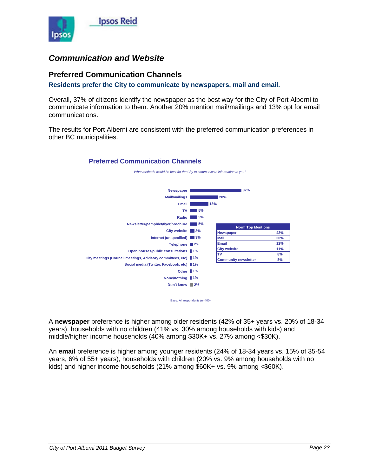

#### <span id="page-24-0"></span>*Communication and Website*

#### **Preferred Communication Channels**

**Residents prefer the City to communicate by newspapers, mail and email.**

**Preferred Communication Channels**

Overall, 37% of citizens identify the newspaper as the best way for the City of Port Alberni to communicate information to them. Another 20% mention mail/mailings and 13% opt for email communications.

The results for Port Alberni are consistent with the preferred communication preferences in other BC municipalities.



Base: All respondents (n=400)

A **newspaper** preference is higher among older residents (42% of 35+ years vs. 20% of 18-34 years), households with no children (41% vs. 30% among households with kids) and middle/higher income households (40% among \$30K+ vs. 27% among <\$30K).

An **email** preference is higher among younger residents (24% of 18-34 years vs. 15% of 35-54 years, 6% of 55+ years), households with children (20% vs. 9% among households with no kids) and higher income households (21% among \$60K+ vs. 9% among <\$60K).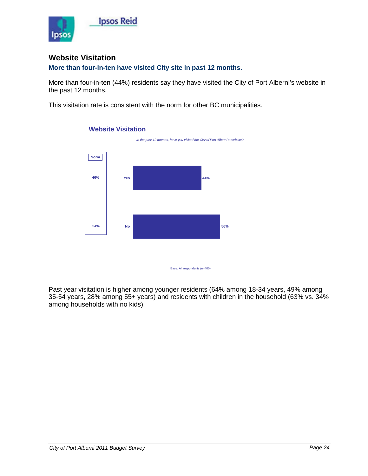

#### **Website Visitation**

**More than four-in-ten have visited City site in past 12 months.**

More than four-in-ten (44%) residents say they have visited the City of Port Alberni's website in the past 12 months.

This visitation rate is consistent with the norm for other BC municipalities.



#### **Website Visitation**

Past year visitation is higher among younger residents (64% among 18-34 years, 49% among 35-54 years, 28% among 55+ years) and residents with children in the household (63% vs. 34% among households with no kids).

Base: All respondents (n=400)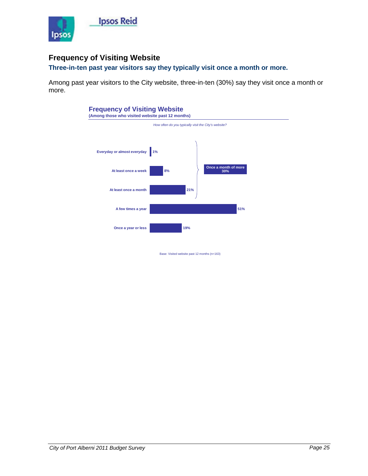

#### **Frequency of Visiting Website**

#### **Three-in-ten past year visitors say they typically visit once a month or more.**

Among past year visitors to the City website, three-in-ten (30%) say they visit once a month or more.



Base: Visited website past 12 months (n=163)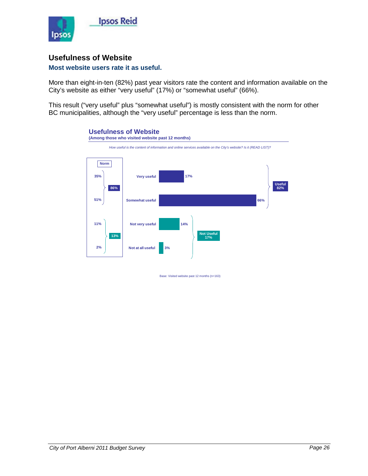

#### **Usefulness of Website**

#### **Most website users rate it as useful.**

More than eight-in-ten (82%) past year visitors rate the content and information available on the City's website as either "very useful" (17%) or "somewhat useful" (66%).

This result ("very useful" plus "somewhat useful") is mostly consistent with the norm for other BC municipalities, although the "very useful" percentage is less than the norm.



Base: Visited website past 12 months (n=163)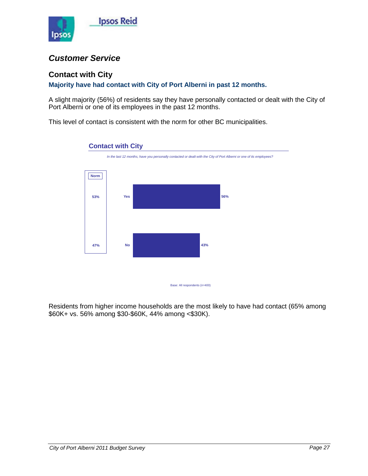

#### <span id="page-28-0"></span>*Customer Service*

#### **Contact with City**

#### **Majority have had contact with City of Port Alberni in past 12 months.**

A slight majority (56%) of residents say they have personally contacted or dealt with the City of Port Alberni or one of its employees in the past 12 months.

This level of contact is consistent with the norm for other BC municipalities.



Base: All respondents (n=400)

Residents from higher income households are the most likely to have had contact (65% among \$60K+ vs. 56% among \$30-\$60K, 44% among <\$30K).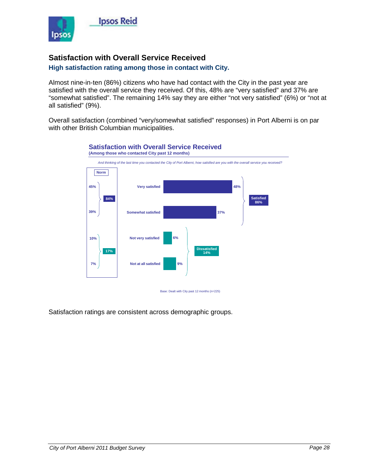

#### **Satisfaction with Overall Service Received**

#### **High satisfaction rating among those in contact with City.**

Almost nine-in-ten (86%) citizens who have had contact with the City in the past year are satisfied with the overall service they received. Of this, 48% are "very satisfied" and 37% are "somewhat satisfied". The remaining 14% say they are either "not very satisfied" (6%) or "not at all satisfied" (9%).

Overall satisfaction (combined "very/somewhat satisfied" responses) in Port Alberni is on par with other British Columbian municipalities.



Satisfaction ratings are consistent across demographic groups.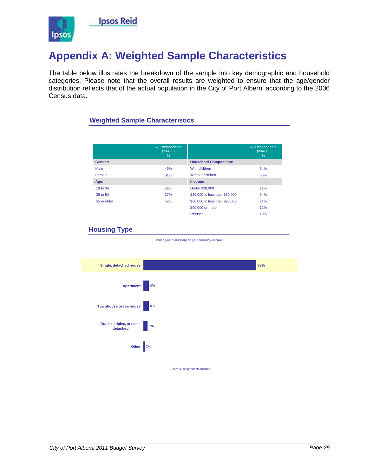

### <span id="page-30-0"></span>**Appendix A: Weighted Sample Characteristics**

The table below illustrates the breakdown of the sample into key demographic and household categories. Please note that the overall results are weighted to ensure that the age/gender distribution reflects that of the actual population in the City of Port Alberni according to the 2006 Census data.

#### **Weighted Sample Characteristics**

|             | <b>All Respondents</b><br>$(n=400)$<br>% |                                | <b>All Respondents</b><br>$(n=400)$<br>% |
|-------------|------------------------------------------|--------------------------------|------------------------------------------|
| Gender:     |                                          | <b>Household Composition:</b>  |                                          |
| Male        | 49%                                      | With children                  | 34%                                      |
| Female      | 51%                                      | Without children               | 65%                                      |
| Age:        |                                          | Income:                        |                                          |
| 18 to 34    | 22%                                      | <b>Under \$30,000</b>          | 21%                                      |
| 35 to 54    | 37%                                      | \$30,000 to less than \$60,000 | 34%                                      |
| 55 or older | 42%                                      | \$60,000 to less than \$90,000 | 24%                                      |
|             |                                          | \$90,000 or more               | 12%                                      |
|             |                                          | Refused                        | 10%                                      |

#### **Housing Type**

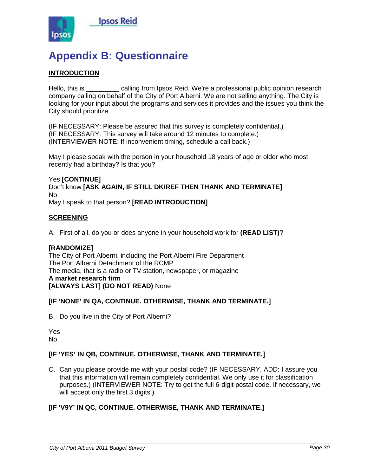

### <span id="page-31-0"></span>**Appendix B: Questionnaire**

#### **INTRODUCTION**

Hello, this is equiling from Ipsos Reid. We're a professional public opinion research company calling on behalf of the City of Port Alberni. We are not selling anything. The City is looking for your input about the programs and services it provides and the issues you think the City should prioritize.

(IF NECESSARY: Please be assured that this survey is completely confidential.) (IF NECESSARY: This survey will take around 12 minutes to complete.) (INTERVIEWER NOTE: If inconvenient timing, schedule a call back.)

May I please speak with the person in your household 18 years of age or older who most recently had a birthday? Is that you?

#### Yes **[CONTINUE]** Don't know **[ASK AGAIN, IF STILL DK/REF THEN THANK AND TERMINATE]** No

May I speak to that person? **[READ INTRODUCTION]**

#### **SCREENING**

A. First of all, do you or does anyone in your household work for **(READ LIST)**?

#### **[RANDOMIZE]**

The City of Port Alberni, including the Port Alberni Fire Department The Port Alberni Detachment of the RCMP The media, that is a radio or TV station, newspaper, or magazine **A market research firm [ALWAYS LAST] (DO NOT READ)** None

#### **[IF 'NONE' IN QA, CONTINUE. OTHERWISE, THANK AND TERMINATE.]**

B. Do you live in the City of Port Alberni?

Yes No

#### **[IF 'YES' IN QB, CONTINUE. OTHERWISE, THANK AND TERMINATE.]**

C. Can you please provide me with your postal code? (IF NECESSARY, ADD: I assure you that this information will remain completely confidential. We only use it for classification purposes.) (INTERVIEWER NOTE: Try to get the full 6-digit postal code. If necessary, we will accept only the first 3 digits.)

#### **[IF 'V9Y' IN QC, CONTINUE. OTHERWISE, THANK AND TERMINATE.]**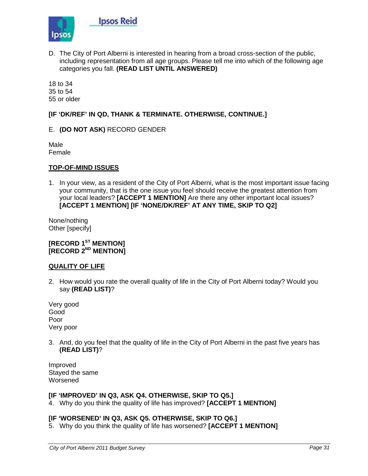

D. The City of Port Alberni is interested in hearing from a broad cross-section of the public, including representation from all age groups. Please tell me into which of the following age categories you fall. **(READ LIST UNTIL ANSWERED)**

18 to 34 35 to 54 55 or older

#### **[IF 'DK/REF' IN QD, THANK & TERMINATE. OTHERWISE, CONTINUE.]**

#### E. **(DO NOT ASK)** RECORD GENDER

Male Female

#### **TOP-OF-MIND ISSUES**

1. In your view, as a resident of the City of Port Alberni, what is the most important issue facing your community, that is the one issue you feel should receive the greatest attention from your local leaders? **[ACCEPT 1 MENTION]** Are there any other important local issues? **[ACCEPT 1 MENTION] [IF 'NONE/DK/REF' AT ANY TIME, SKIP TO Q2]**

None/nothing Other [specify]

**[RECORD 1ST MENTION] [RECORD 2ND MENTION]**

#### **QUALITY OF LIFE**

2. How would you rate the overall quality of life in the City of Port Alberni today? Would you say **(READ LIST)**?

Very good Good Poor Very poor

3. And, do you feel that the quality of life in the City of Port Alberni in the past five years has **(READ LIST)**?

Improved Stayed the same **Worsened** 

#### **[IF 'IMPROVED' IN Q3, ASK Q4. OTHERWISE, SKIP TO Q5.]**

4. Why do you think the quality of life has improved? **[ACCEPT 1 MENTION]**

#### **[IF 'WORSENED' IN Q3, ASK Q5. OTHERWISE, SKIP TO Q6.]**

5. Why do you think the quality of life has worsened? **[ACCEPT 1 MENTION]**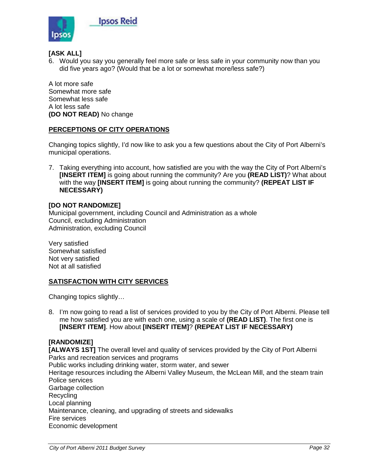

#### **[ASK ALL]**

6. Would you say you generally feel more safe or less safe in your community now than you did five years ago? (Would that be a lot or somewhat more/less safe?)

A lot more safe Somewhat more safe Somewhat less safe A lot less safe **(DO NOT READ)** No change

#### **PERCEPTIONS OF CITY OPERATIONS**

Changing topics slightly, I'd now like to ask you a few questions about the City of Port Alberni's municipal operations.

7. Taking everything into account, how satisfied are you with the way the City of Port Alberni's **[INSERT ITEM]** is going about running the community? Are you **(READ LIST)**? What about with the way **[INSERT ITEM]** is going about running the community? **(REPEAT LIST IF NECESSARY)**

#### **[DO NOT RANDOMIZE]**

Municipal government, including Council and Administration as a whole Council, excluding Administration Administration, excluding Council

Very satisfied Somewhat satisfied Not very satisfied Not at all satisfied

#### **SATISFACTION WITH CITY SERVICES**

Changing topics slightly…

8. I'm now going to read a list of services provided to you by the City of Port Alberni. Please tell me how satisfied you are with each one, using a scale of **(READ LIST)**. The first one is **[INSERT ITEM]**. How about **[INSERT ITEM]**? **(REPEAT LIST IF NECESSARY)**

#### **[RANDOMIZE]**

**[ALWAYS 1ST]** The overall level and quality of services provided by the City of Port Alberni Parks and recreation services and programs Public works including drinking water, storm water, and sewer Heritage resources including the Alberni Valley Museum, the McLean Mill, and the steam train Police services Garbage collection Recycling Local planning Maintenance, cleaning, and upgrading of streets and sidewalks Fire services Economic development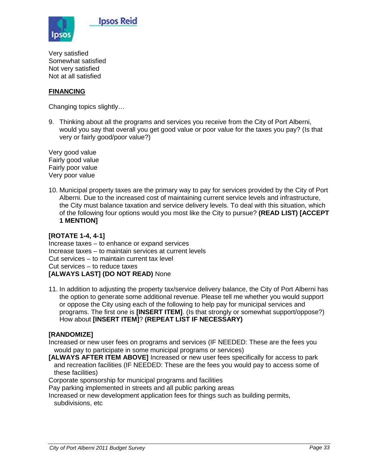

Very satisfied Somewhat satisfied Not very satisfied Not at all satisfied

#### **FINANCING**

Changing topics slightly…

9. Thinking about all the programs and services you receive from the City of Port Alberni, would you say that overall you get good value or poor value for the taxes you pay? (Is that very or fairly good/poor value?)

Very good value Fairly good value Fairly poor value Very poor value

10. Municipal property taxes are the primary way to pay for services provided by the City of Port Alberni. Due to the increased cost of maintaining current service levels and infrastructure, the City must balance taxation and service delivery levels. To deal with this situation, which of the following four options would you most like the City to pursue? **(READ LIST) [ACCEPT 1 MENTION]**

#### **[ROTATE 1-4, 4-1]**

Increase taxes – to enhance or expand services Increase taxes – to maintain services at current levels Cut services – to maintain current tax level Cut services – to reduce taxes **[ALWAYS LAST] (DO NOT READ)** None

11. In addition to adjusting the property tax/service delivery balance, the City of Port Alberni has the option to generate some additional revenue. Please tell me whether you would support or oppose the City using each of the following to help pay for municipal services and programs. The first one is **[INSERT ITEM]**. (Is that strongly or somewhat support/oppose?) How about **[INSERT ITEM]**? **(REPEAT LIST IF NECESSARY)**

#### **[RANDOMIZE]**

Increased or new user fees on programs and services (IF NEEDED: These are the fees you would pay to participate in some municipal programs or services)

**[ALWAYS AFTER ITEM ABOVE]** Increased or new user fees specifically for access to park and recreation facilities (IF NEEDED: These are the fees you would pay to access some of these facilities)

Corporate sponsorship for municipal programs and facilities

Pay parking implemented in streets and all public parking areas

Increased or new development application fees for things such as building permits, subdivisions, etc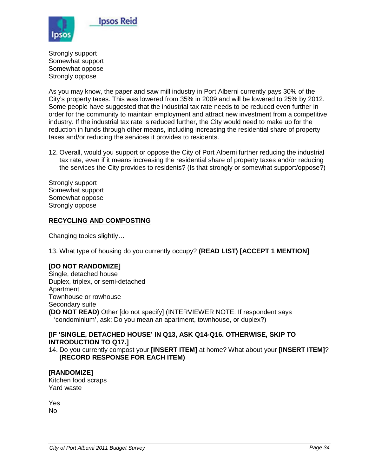

Strongly support Somewhat support Somewhat oppose Strongly oppose

As you may know, the paper and saw mill industry in Port Alberni currently pays 30% of the City's property taxes. This was lowered from 35% in 2009 and will be lowered to 25% by 2012. Some people have suggested that the industrial tax rate needs to be reduced even further in order for the community to maintain employment and attract new investment from a competitive industry. If the industrial tax rate is reduced further, the City would need to make up for the reduction in funds through other means, including increasing the residential share of property taxes and/or reducing the services it provides to residents.

12. Overall, would you support or oppose the City of Port Alberni further reducing the industrial tax rate, even if it means increasing the residential share of property taxes and/or reducing the services the City provides to residents? (Is that strongly or somewhat support/oppose?)

Strongly support Somewhat support Somewhat oppose Strongly oppose

#### **RECYCLING AND COMPOSTING**

Changing topics slightly…

13. What type of housing do you currently occupy? **(READ LIST) [ACCEPT 1 MENTION]**

#### **[DO NOT RANDOMIZE]**

Single, detached house Duplex, triplex, or semi-detached Apartment Townhouse or rowhouse Secondary suite **(DO NOT READ)** Other [do not specify] (INTERVIEWER NOTE: If respondent says 'condominium', ask: Do you mean an apartment, townhouse, or duplex?)

#### **[IF 'SINGLE, DETACHED HOUSE' IN Q13, ASK Q14-Q16. OTHERWISE, SKIP TO INTRODUCTION TO Q17.]**

14. Do you currently compost your **[INSERT ITEM]** at home? What about your **[INSERT ITEM]**? **(RECORD RESPONSE FOR EACH ITEM)**

**[RANDOMIZE]** Kitchen food scraps Yard waste

Yes No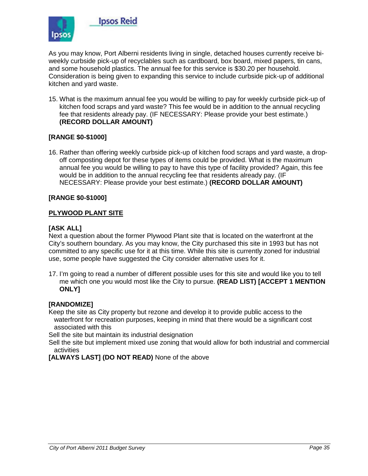

As you may know, Port Alberni residents living in single, detached houses currently receive biweekly curbside pick-up of recyclables such as cardboard, box board, mixed papers, tin cans, and some household plastics. The annual fee for this service is \$30.20 per household. Consideration is being given to expanding this service to include curbside pick-up of additional kitchen and yard waste.

15. What is the maximum annual fee you would be willing to pay for weekly curbside pick-up of kitchen food scraps and yard waste? This fee would be in addition to the annual recycling fee that residents already pay. (IF NECESSARY: Please provide your best estimate.) **(RECORD DOLLAR AMOUNT)**

#### **[RANGE \$0-\$1000]**

16. Rather than offering weekly curbside pick-up of kitchen food scraps and yard waste, a dropoff composting depot for these types of items could be provided. What is the maximum annual fee you would be willing to pay to have this type of facility provided? Again, this fee would be in addition to the annual recycling fee that residents already pay. (IF NECESSARY: Please provide your best estimate.) **(RECORD DOLLAR AMOUNT)**

#### **[RANGE \$0-\$1000]**

#### **PLYWOOD PLANT SITE**

#### **[ASK ALL]**

Next a question about the former Plywood Plant site that is located on the waterfront at the City's southern boundary. As you may know, the City purchased this site in 1993 but has not committed to any specific use for it at this time. While this site is currently zoned for industrial use, some people have suggested the City consider alternative uses for it.

17. I'm going to read a number of different possible uses for this site and would like you to tell me which one you would most like the City to pursue. **(READ LIST) [ACCEPT 1 MENTION ONLY]**

#### **[RANDOMIZE]**

Keep the site as City property but rezone and develop it to provide public access to the waterfront for recreation purposes, keeping in mind that there would be a significant cost associated with this

Sell the site but maintain its industrial designation

Sell the site but implement mixed use zoning that would allow for both industrial and commercial activities

**[ALWAYS LAST] (DO NOT READ)** None of the above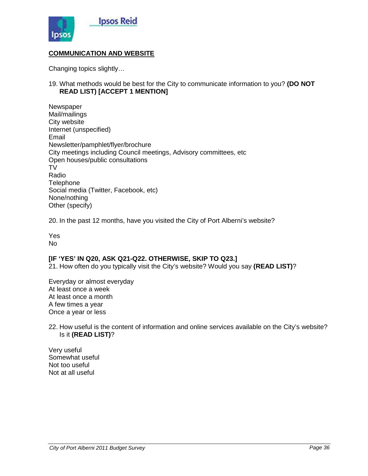

#### **COMMUNICATION AND WEBSITE**

Changing topics slightly…

19. What methods would be best for the City to communicate information to you? **(DO NOT READ LIST) [ACCEPT 1 MENTION]**

**Newspaper** Mail/mailings City website Internet (unspecified) Email Newsletter/pamphlet/flyer/brochure City meetings including Council meetings, Advisory committees, etc Open houses/public consultations TV Radio **Telephone** Social media (Twitter, Facebook, etc) None/nothing Other (specify)

20. In the past 12 months, have you visited the City of Port Alberni's website?

Yes No

#### **[IF 'YES' IN Q20, ASK Q21-Q22. OTHERWISE, SKIP TO Q23.]**

21. How often do you typically visit the City's website? Would you say **(READ LIST)**?

Everyday or almost everyday At least once a week At least once a month A few times a year Once a year or less

22. How useful is the content of information and online services available on the City's website? Is it **(READ LIST)**?

Very useful Somewhat useful Not too useful Not at all useful